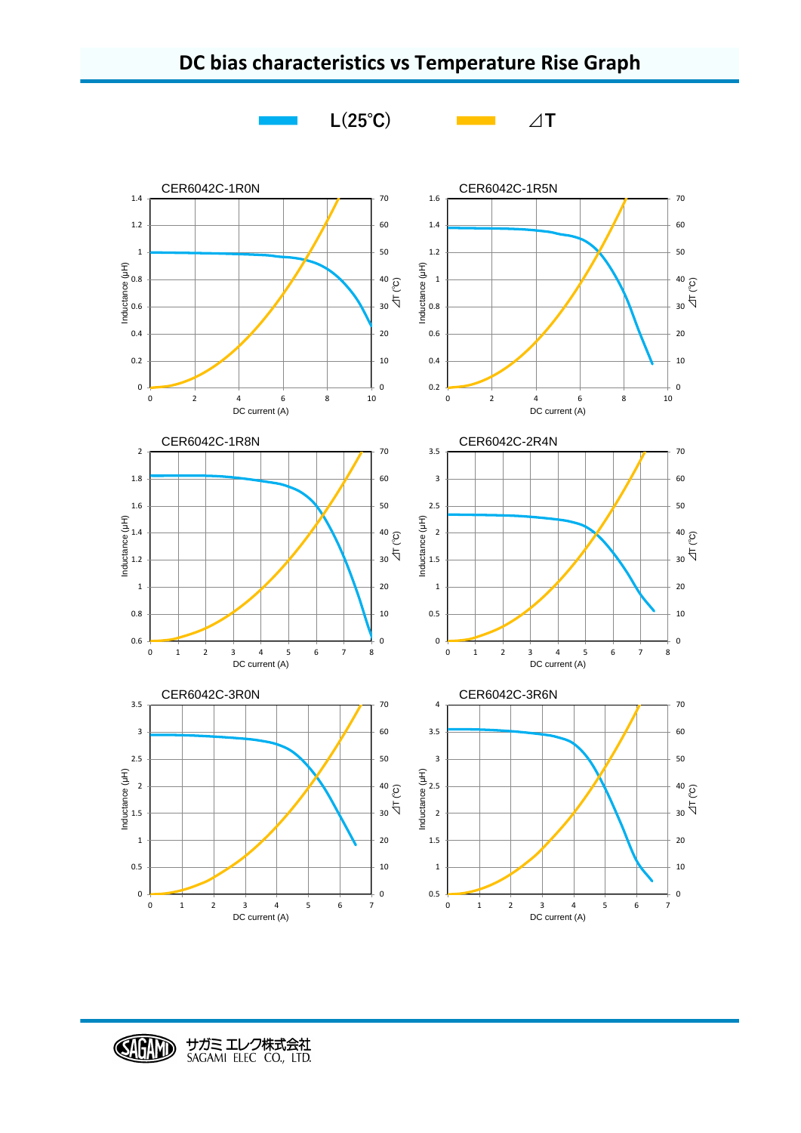



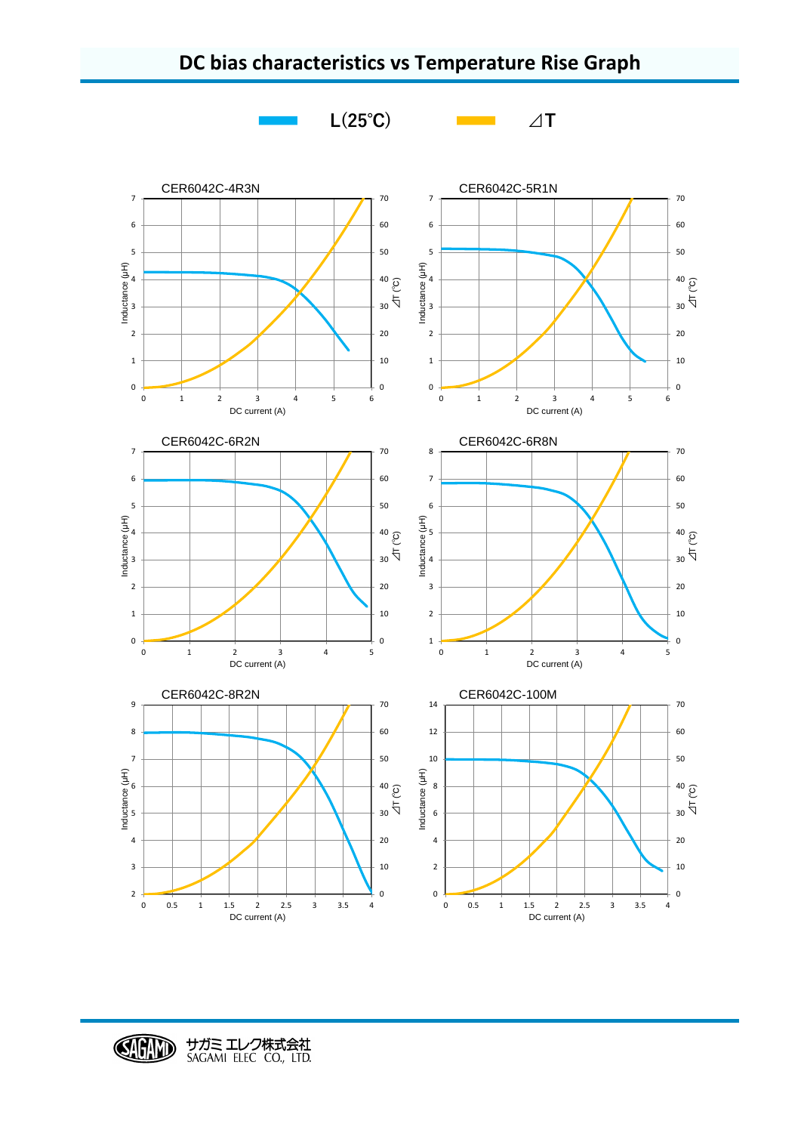

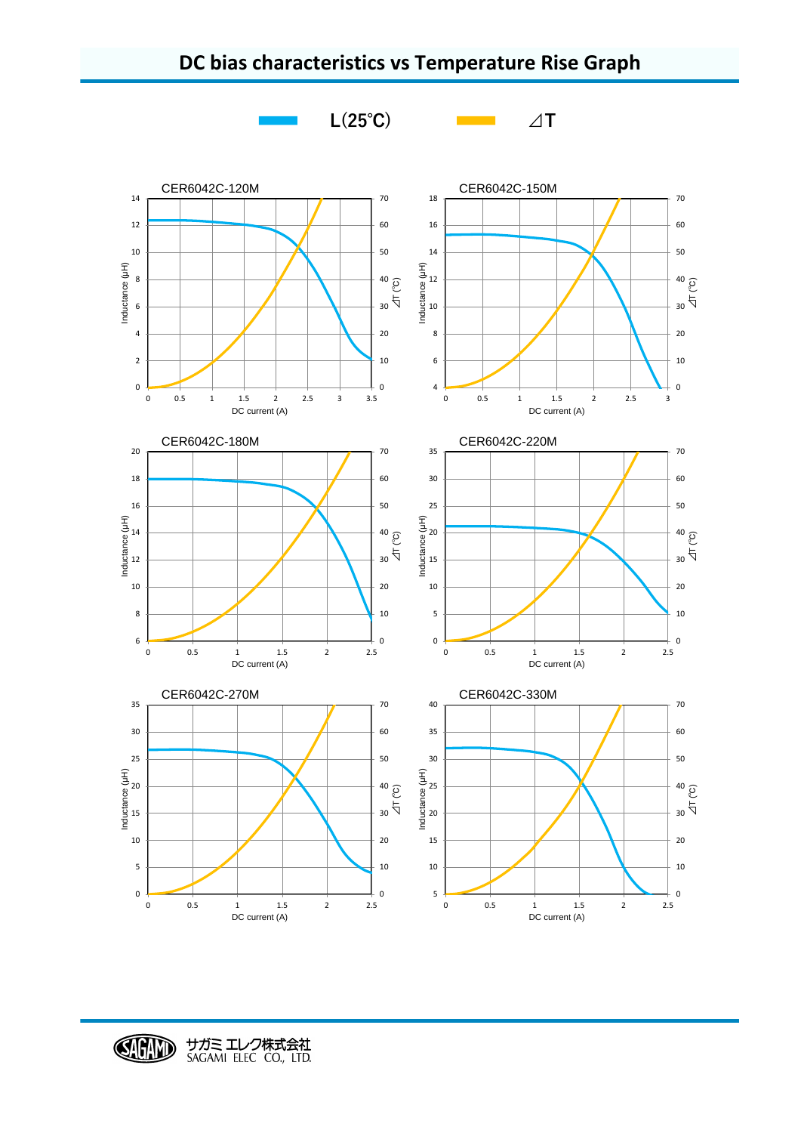



## **DC bias characteristics vs Temperature Rise Graph**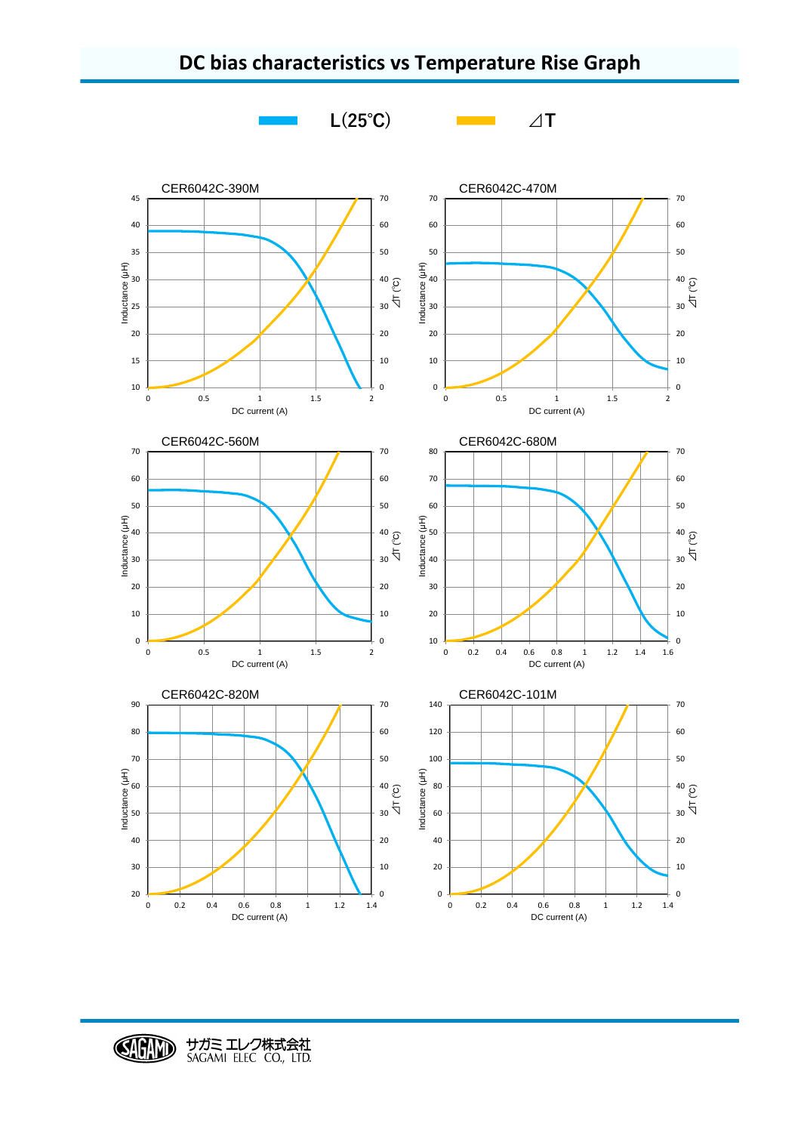



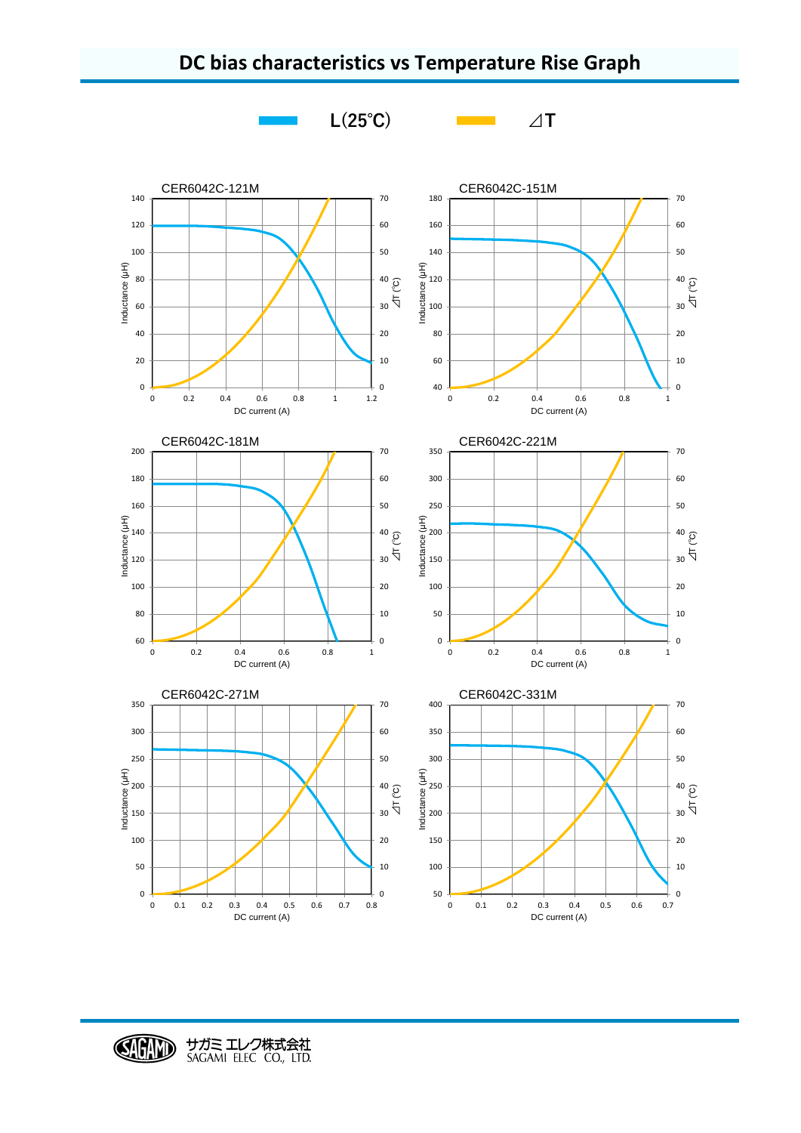



サガミ エレク株式会社<br>SAGAMI ELEC CO., LTD.